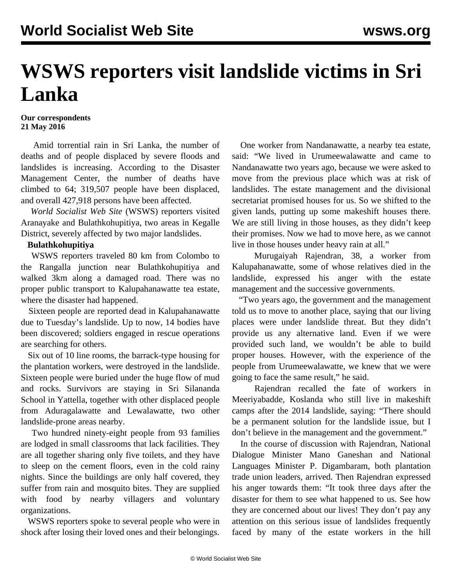# **WSWS reporters visit landslide victims in Sri Lanka**

#### **Our correspondents 21 May 2016**

 Amid torrential rain in Sri Lanka, the number of deaths and of people displaced by severe floods and landslides is increasing. According to the Disaster Management Center, the number of deaths have climbed to 64; 319,507 people have been displaced, and overall 427,918 persons have been affected.

 *World Socialist Web Site* (WSWS) reporters visited Aranayake and Bulathkohupitiya, two areas in Kegalle District, severely affected by two major landslides.

#### **Bulathkohupitiya**

 WSWS reporters traveled 80 km from Colombo to the Rangalla junction near Bulathkohupitiya and walked 3km along a damaged road. There was no proper public transport to Kalupahanawatte tea estate, where the disaster had happened.

 Sixteen people are reported dead in Kalupahanawatte due to Tuesday's landslide. Up to now, 14 bodies have been discovered; soldiers engaged in rescue operations are searching for others.

 Six out of 10 line rooms, the barrack-type housing for the plantation workers, were destroyed in the landslide. Sixteen people were buried under the huge flow of mud and rocks. Survivors are staying in Sri Silananda School in Yattella, together with other displaced people from Aduragalawatte and Lewalawatte, two other landslide-prone areas nearby.

 Two hundred ninety-eight people from 93 families are lodged in small classrooms that lack facilities. They are all together sharing only five toilets, and they have to sleep on the cement floors, even in the cold rainy nights. Since the buildings are only half covered, they suffer from rain and mosquito bites. They are supplied with food by nearby villagers and voluntary organizations.

 WSWS reporters spoke to several people who were in shock after losing their loved ones and their belongings.

 One worker from Nandanawatte, a nearby tea estate, said: "We lived in Urumeewalawatte and came to Nandanawatte two years ago, because we were asked to move from the previous place which was at risk of landslides. The estate management and the divisional secretariat promised houses for us. So we shifted to the given lands, putting up some makeshift houses there. We are still living in those houses, as they didn't keep their promises. Now we had to move here, as we cannot live in those houses under heavy rain at all."

 Murugaiyah Rajendran, 38, a worker from Kalupahanawatte, some of whose relatives died in the landslide, expressed his anger with the estate management and the successive governments.

 "Two years ago, the government and the management told us to move to another place, saying that our living places were under landslide threat. But they didn't provide us any alternative land. Even if we were provided such land, we wouldn't be able to build proper houses. However, with the experience of the people from Urumeewalawatte, we knew that we were going to face the same result," he said.

 Rajendran recalled the fate of workers in Meeriyabadde, Koslanda who still live in makeshift camps after the 2014 landslide, saying: "There should be a permanent solution for the landslide issue, but I don't believe in the management and the government."

 In the course of discussion with Rajendran, National Dialogue Minister Mano Ganeshan and National Languages Minister P. Digambaram, both plantation trade union leaders, arrived. Then Rajendran expressed his anger towards them: "It took three days after the disaster for them to see what happened to us. See how they are concerned about our lives! They don't pay any attention on this serious issue of landslides frequently faced by many of the estate workers in the hill